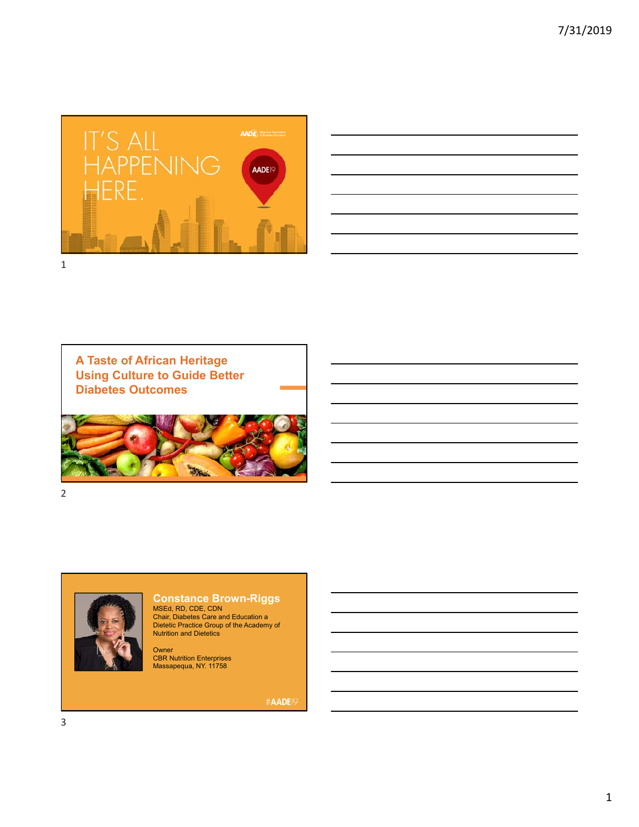

| <u> 1989 - Andrea Santa Andrea Andrea Andrea Andrea Andrea Andrea Andrea Andrea Andrea Andrea Andrea Andrea Andr</u>  |  |                               |
|-----------------------------------------------------------------------------------------------------------------------|--|-------------------------------|
| and the control of the control of the control of the control of the control of the control of the control of the      |  | the company of the company of |
| <u> 1989 - Andrea Santa Andrea Andrea Andrea Andrea Andrea Andrea Andrea Andrea Andrea Andrea Andrea Andrea Andr</u>  |  |                               |
| ,我们也不会有什么。""我们的人,我们也不会有什么?""我们的人,我们也不会有什么?""我们的人,我们也不会有什么?""我们的人,我们也不会有什么?""我们的人                                      |  |                               |
| <u> 1989 - Andrea Santa Andrea Andrea Andrea Andrea Andrea Andrea Andrea Andrea Andrea Andrea Andrea Andrea Andr</u>  |  | ____                          |
| <u> Listen de la construcción de la construcción de la construcción de la construcción de la construcción de la c</u> |  |                               |
|                                                                                                                       |  |                               |

**A Taste of African Heritage Using Culture to Guide Better Diabetes Outcomes**



2



**Constance Brown-Riggs**

MSEd, RD, CDE, CDN Chair, Diabetes Care and Education a Dietetic Practice Group of the Academy of Nutrition and Dietetics

Owner<br>CBR Nutrition Enterprises<br>Massapequa, NY. 11758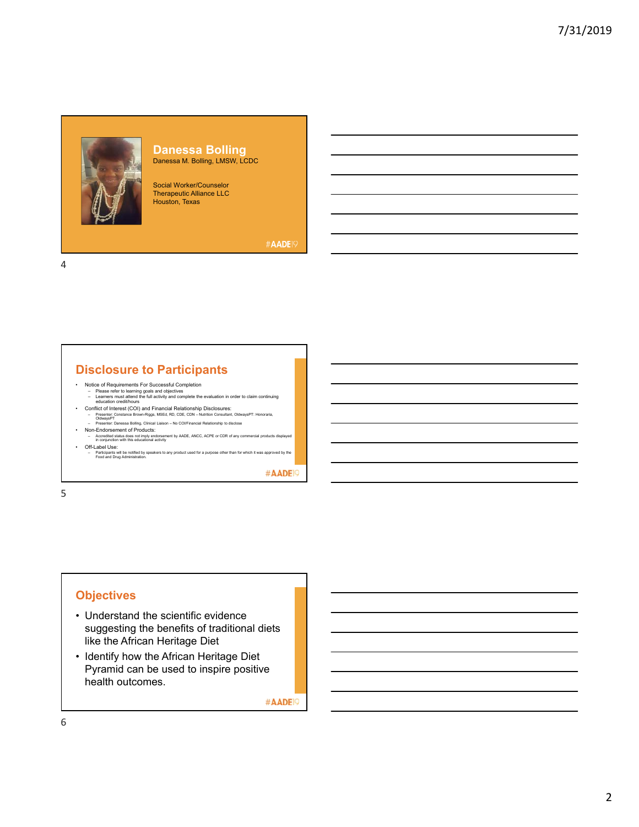#### **Danessa Bolling** Danessa M. Bolling, LMSW, LCDC

Social Worker/Counselor Therapeutic Alliance LLC Houston, Texas

#AADE<sub>19</sub>

4

## **Disclosure to Participants**

- Notice of Requirements For Successful Completion<br>– Please refer to learning goals and objectives<br>– tearners must attend the full activity and complete the evaluation in order to claim continuing<br>– education credit/hours
	-
- Conflict of Interest (COI) and Financial Relationship Disclosures:<br>- Presenter: Constance Brown-Riggs, MSEd, RD, CDE, CDN Nutrition Consultant, OldwaysPT: Honoraria,<br>- Presenter: Danessa Bolling, Clinical Lialson No
	-
- 
- Non-Endorsement of Products: Accredited status does not imply endorsement by AADE, ANCC, ACPE or CDR of any commercial products displayed in conjunction with this educational activity • Off-Label Use:
- Participants will be notified by speakers to any product used for a purpose other than for which it was approved by the Food and Drug Administration.

#AADE<sup>19</sup>

5

## **Objectives**

- Understand the scientific evidence suggesting the benefits of traditional diets like the African Heritage Diet
- Identify how the African Heritage Diet Pyramid can be used to inspire positive health outcomes.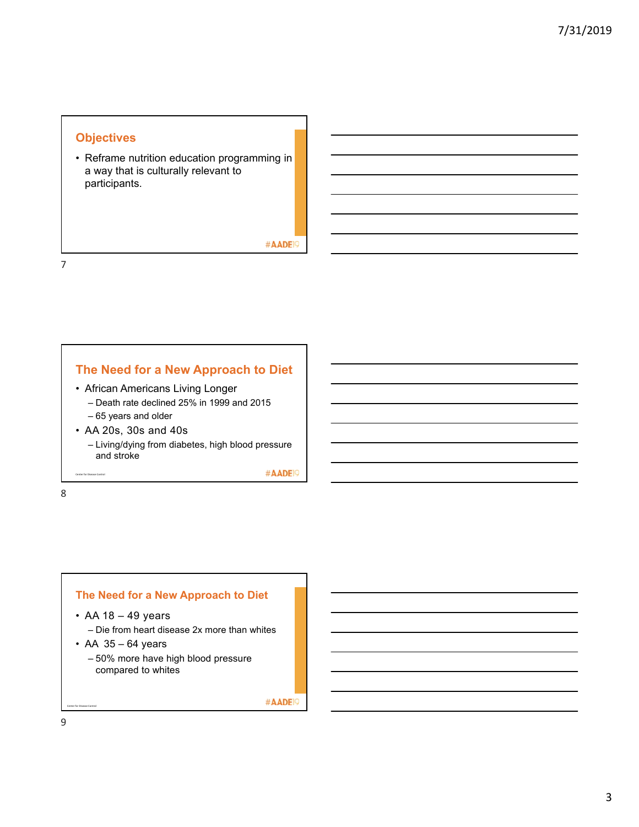#### **Objectives**

• Reframe nutrition education programming in a way that is culturally relevant to participants.

#AADE<sup>19</sup>

#AADE<sup>19</sup>

7

## **The Need for a New Approach to Diet**

- African Americans Living Longer
	- Death rate declined 25% in 1999 and 2015 – 65 years and older
- AA 20s, 30s and 40s
	- Living/dying from diabetes, high blood pressure and stroke

Center for Disease Control

8

**The Need for a New Approach to Diet** 

- AA 18 49 years
	- Die from heart disease 2x more than whites
- $\cdot$  AA 35 64 years
	- 50% more have high blood pressure compared to whites

#AADE<sup>19</sup>

9

Center for Disease Control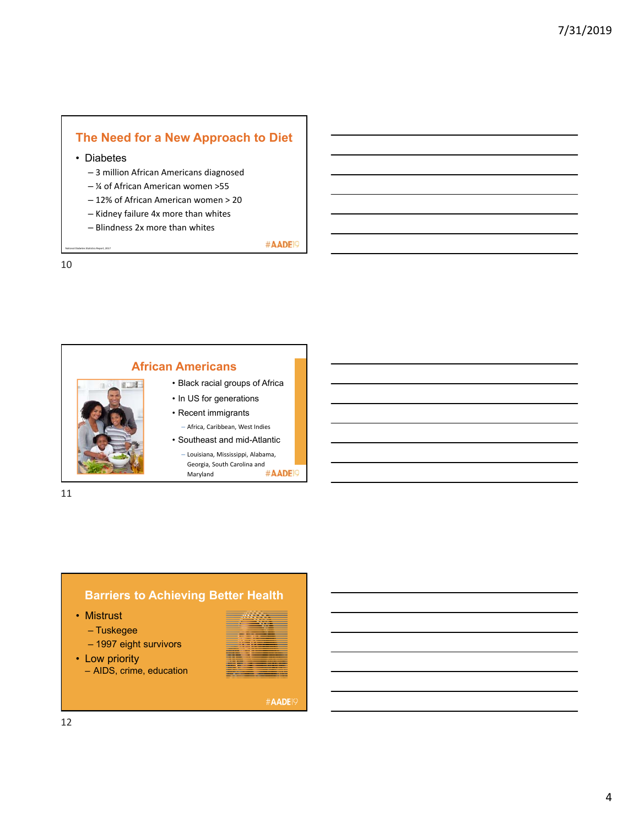# **The Need for a New Approach to Diet**

• Diabetes

– 3 million African Americans diagnosed

- ¼ of African American women >55
- 12% of African American women > 20
- Kidney failure 4x more than whites
- Blindness 2x more than whites

#AADE<sup>19</sup>

10

National Diabetes Statistics Report, 2017





• Mistrust

- Tuskegee
- 1997 eight survivors
- Low priority
	- AIDS, crime, education

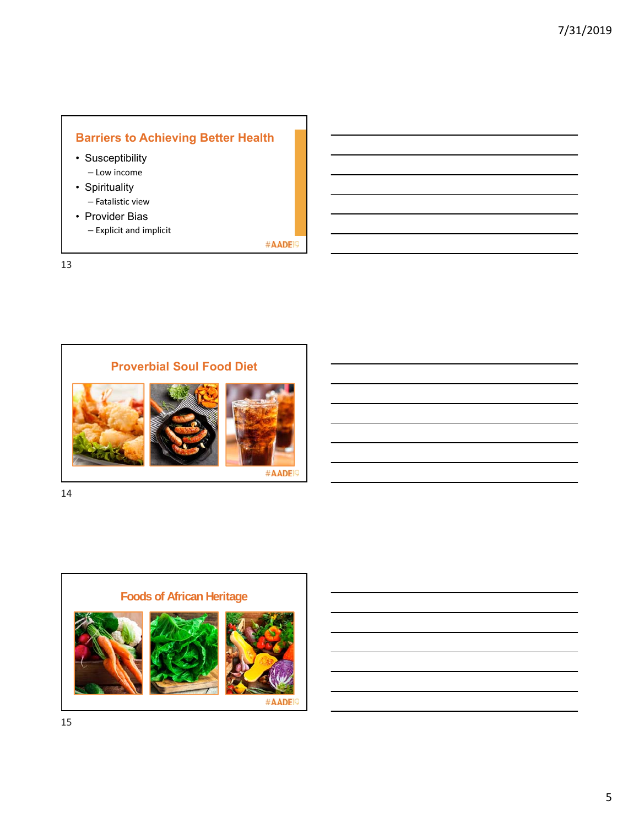# **Barriers to Achieving Better Health**

#AADE<sup>19</sup>

- Susceptibility – Low income
- Spirituality – Fatalistic view
- Provider Bias – Explicit and implicit

13



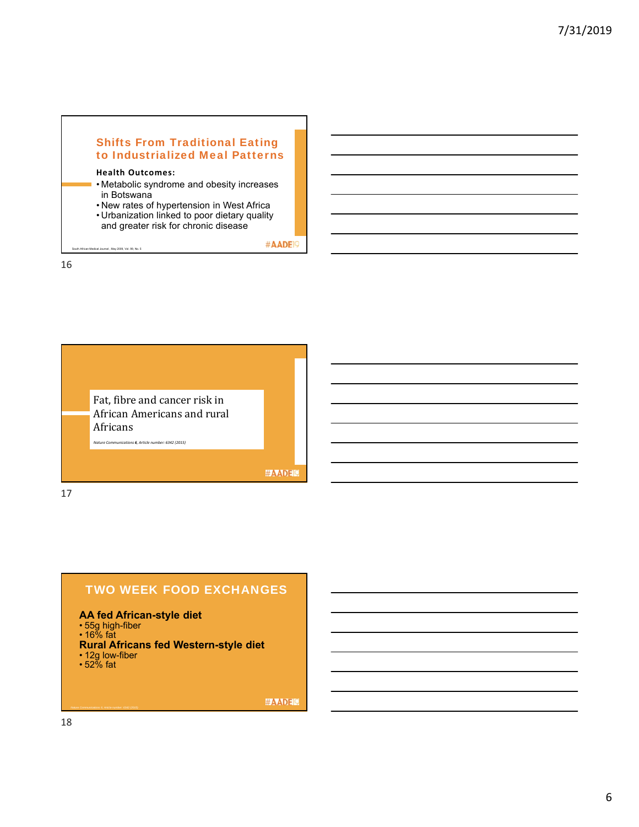#### Shifts From Traditional Eating to Industrialized Meal Patterns

#### **Health Outcomes:**

th African Medical Journal , May 2009, Vol. 99, No. 5.

- Metabolic syndrome and obesity increases in Botswana
- New rates of hypertension in West Africa
- Urbanization linked to poor dietary quality
- and greater risk for chronic disease

#AADE<sup>19</sup>

16



## TWO WEEK FOOD EXCHANGES

#### **AA fed African-style diet**

- 55g high-fiber
- 16% fat

#### **Rural Africans fed Western-style diet**

- 12g low-fiber
- 52% fat

#AADEL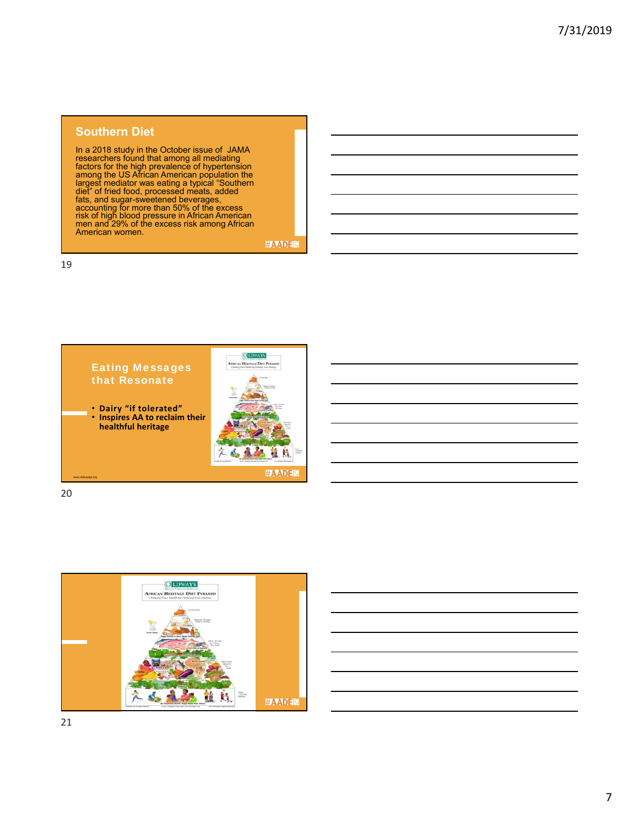#### **Southern Diet**

In a 2018 study in the October issue of JAMA<br>researchers found that among all mediating<br>factors for the high prevalence of hypertension<br>among the US African American population the<br>largest mediator was eating a typical "So

**#AADEM** 

19



20



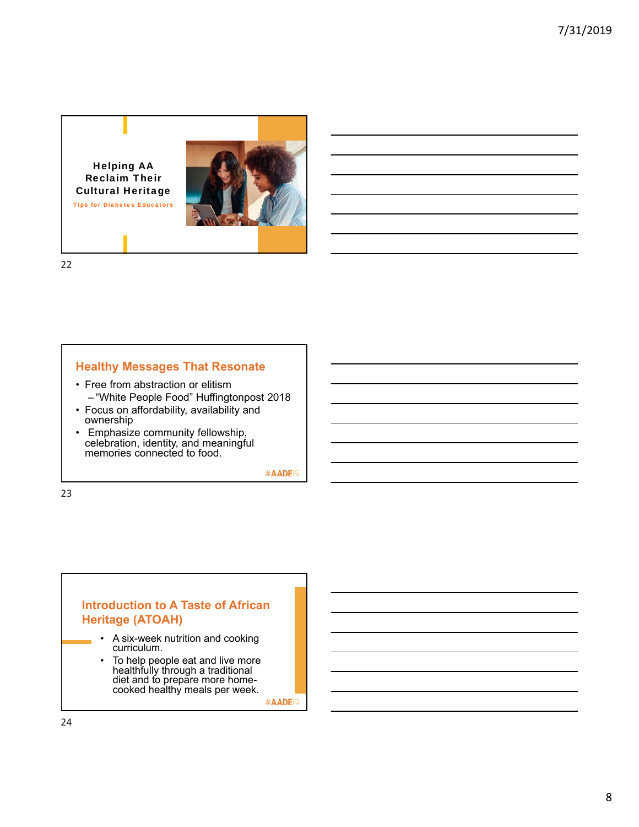Helping AA Reclaim Their Cultural Heritage Tips for Diabetes Educators



22

#### **Healthy Messages That Resonate**

- Free from abstraction or elitism – "White People Food" Huffingtonpost 2018
- Focus on affordability, availability and ownership
- Emphasize community fellowship, celebration, identity, and meaningful memories connected to food.

#AADE<sup>19</sup>

23

### **Introduction to A Taste of African Heritage (ATOAH)**

- A six-week nutrition and cooking curriculum.
- To help people eat and live more healthfully through a traditional diet and to prepare more homecooked healthy meals per week.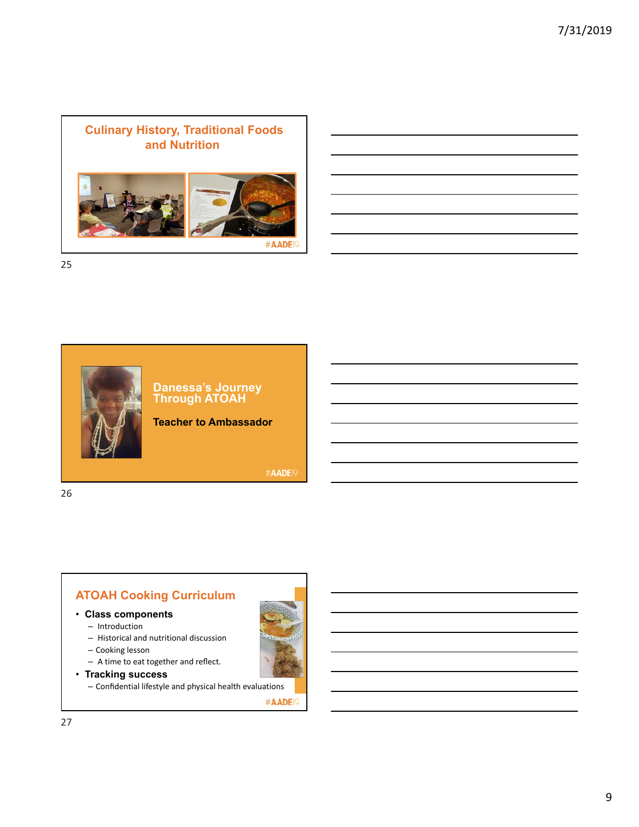

25



**Danessa's Journey Through ATOAH**

**Teacher to Ambassador**

#AADE19

26

# **ATOAH Cooking Curriculum**

- **Class components**
	- Introduction
	- Historical and nutritional discussion
	- Cooking lesson
	- A time to eat together and reflect.
- **Tracking success**

– Confidential lifestyle and physical health evaluations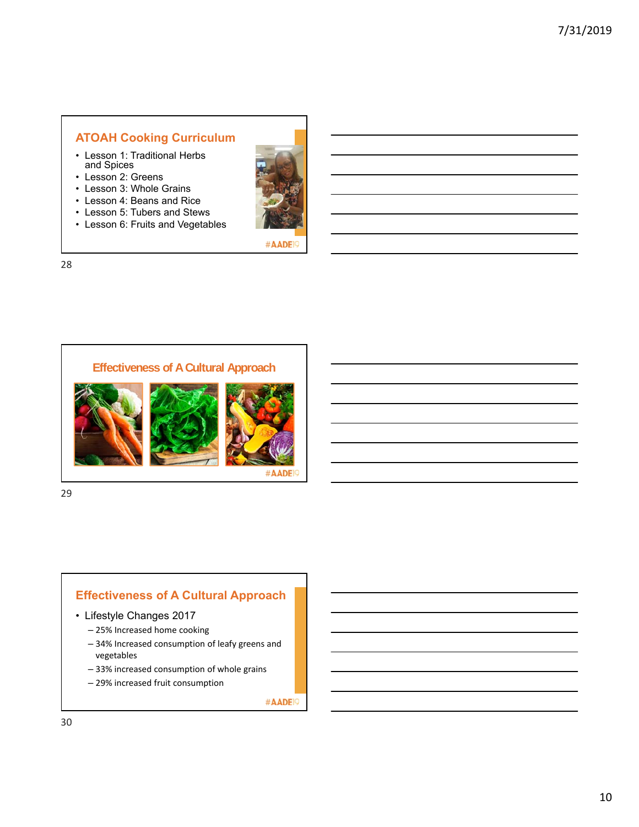## **ATOAH Cooking Curriculum**

- Lesson 1: Traditional Herbs and Spices
- Lesson 2: Greens
- Lesson 3: Whole Grains
- Lesson 4: Beans and Rice
- Lesson 5: Tubers and Stews
- Lesson 6: Fruits and Vegetables



#AADE<sup>19</sup>

28



29

be used as lectures.

## **Effectiveness of A Cultural Approach**

- Lifestyle Changes 2017
	- 25% Increased home cooking
	- 34% Increased consumption of leafy greens and vegetables
	- 33% increased consumption of whole grains
	- 29% increased fruit consumption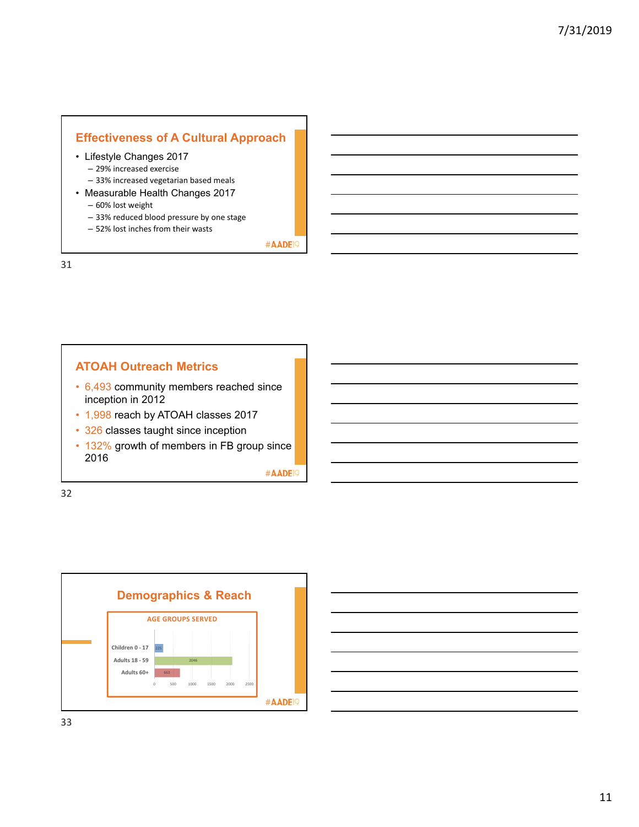## **Effectiveness of A Cultural Approach**

- Lifestyle Changes 2017
	- 29% increased exercise
	- 33% increased vegetarian based meals
- Measurable Health Changes 2017 – 60% lost weight
	- 33% reduced blood pressure by one stage
	- 52% lost inches from their wasts

#AADE<sup>19</sup>

31

#### **ATOAH Outreach Metrics**

- 6,493 community members reached since inception in 2012
- 1,998 reach by ATOAH classes 2017
- 326 classes taught since inception
- 132% growth of members in FB group since 2016

#AADE<sup>19</sup>



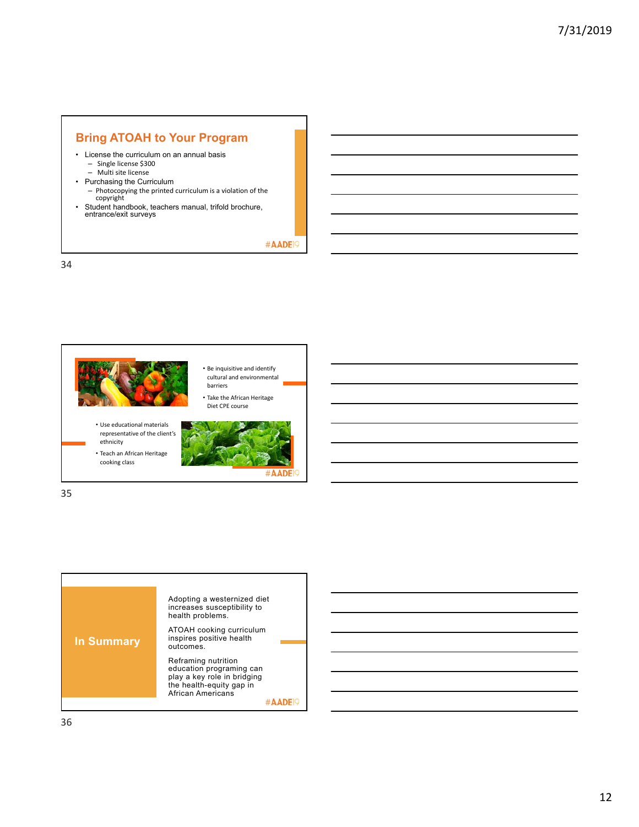## **Bring ATOAH to Your Program**

- License the curriculum on an annual basis – Single license \$300
	- Multi site license
- Purchasing the Curriculum
	- Photocopying the printed curriculum is a violation of the copyright
- Student handbook, teachers manual, trifold brochure, entrance/exit surveys

#### #AADE<sup>19</sup>

34